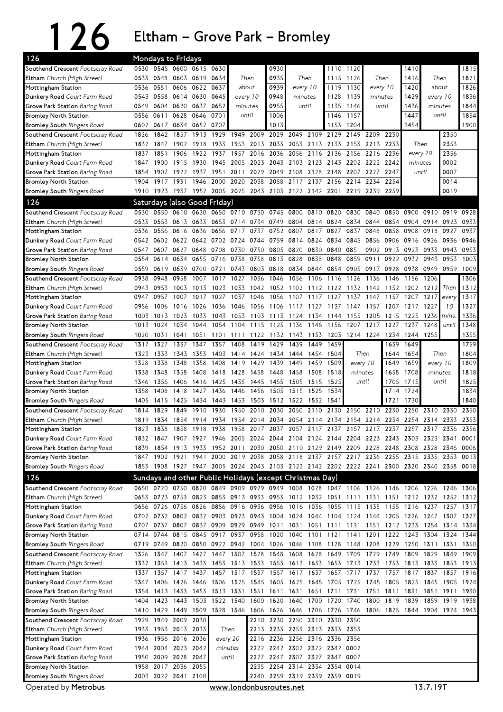## 126 Eltham – Grove Park – Bromley

| 126                                                            |              |              | Mondays to Fridays          |                              |              |                                                                  |                |                                                                                                                       |                          |           |                     |              |                          |                   |              |                  |              |              |
|----------------------------------------------------------------|--------------|--------------|-----------------------------|------------------------------|--------------|------------------------------------------------------------------|----------------|-----------------------------------------------------------------------------------------------------------------------|--------------------------|-----------|---------------------|--------------|--------------------------|-------------------|--------------|------------------|--------------|--------------|
| Southend Crescent Footscray Road                               | 0530         |              |                             | 0545 0600 0615               | 0630         |                                                                  |                | 0930                                                                                                                  |                          |           |                     | 1110 1120    |                          |                   | 1410         |                  |              | 1815         |
| Eltham Church (High Street)                                    |              |              | 0533 0548 0603 0619         |                              | 0634         | Then                                                             |                | 0935                                                                                                                  | Then                     |           |                     | 1115 1126    | Then                     |                   | 1416         | Then             |              | 1821         |
| Mottingham Station                                             |              | 0536 0551    | 0606                        | 0622                         | 0637         | about                                                            |                | 0939                                                                                                                  | every 10                 |           |                     | 1119 1130    | every 10                 |                   | 1420         | about            |              | 1826         |
| Dunkery Road Court Farm Road                                   | 0543         |              | 0558 0614 0630              |                              | 0645         | every 10                                                         |                | 0948                                                                                                                  | minutes                  |           | 1128                | 1139         | minutes                  |                   | 1429         | every 10         |              | 1836         |
| Grove Park Station Baring Road                                 | 0549         | 0604 0620    |                             | 0637                         | 0652         | minutes                                                          |                | 0955                                                                                                                  | until                    |           | 1135                | 1146         | until                    |                   | 1436         |                  | minutes      | 1844         |
| <b>Bromley North Station</b>                                   | 0556         | 0611         | 0628                        | 0646                         | 0701         |                                                                  | until          | 1006                                                                                                                  |                          |           | 1146                | 1157         |                          |                   | 1447         |                  | until        | 1854         |
| <b>Bromley South Ringers Road</b>                              |              | 0602 0617    |                             | 0634 0652 0707               |              |                                                                  |                | 1013                                                                                                                  |                          |           |                     | 1153 1204    |                          |                   | 1454         |                  |              | 1900         |
| Southend Crescent Footscray Road                               | 1826         | 1842         | 1857                        | 1913                         | 1929         | 1949                                                             | 2009           |                                                                                                                       | 2029 2049                | 2109      | 2129                | 2149         | 2209                     | 2230              |              |                  | 2350         |              |
| Eltham Church (High Street)                                    | 1832         | 1847         | 1902                        | 1918                         | 1933         | 1953                                                             | 2013           | 2033 2053                                                                                                             |                          | 2113 2133 |                     | 2153         | 2213                     | 2233              |              | Then             | 2353         |              |
| Mottingham Station                                             | 1837         | 1851         | 1906                        | 1922                         | 1937         | 1957                                                             | 2016           | 2036                                                                                                                  | 2056                     | 2116      | 2136                | 2156         | 2216                     | 2236              |              | every 20         | 2356         |              |
| Dunkery Road Court Farm Road                                   | 1847         | 1900         | 1915                        | 1930                         | 1945         | 2005                                                             | 2023           |                                                                                                                       | 2043 2103                | 2123      |                     | 2143 2202    | 2222                     | 2242              | minutes      |                  | 0002         |              |
| Grove Park Station Baring Road                                 | 1854         | 1907         | 1922                        | 1937<br>1946                 | 1951         | 2011                                                             | 2029<br>2038   | 2049                                                                                                                  | 2108<br>2058 2117 2137   |           | 2128 2148 2207      |              | 2227                     | 2247              |              | until            | 0007         |              |
| <b>Bromley North Station</b>                                   | 1904         | 1917         | 1931                        |                              |              | 2000 2020                                                        |                | 1910 1923 1937 1952 2005 2025 2043 2103 2122 2142 2201 2219 2239 2259                                                 |                          |           |                     | 2156 2214    | 2234                     | 2254              |              |                  | 0014<br>0019 |              |
| <b>Bromley South Ringers Road</b>                              |              |              |                             |                              |              |                                                                  |                |                                                                                                                       |                          |           |                     |              |                          |                   |              |                  |              |              |
| 126                                                            |              |              |                             | Saturdays (also Good Friday) |              |                                                                  |                |                                                                                                                       |                          |           |                     |              |                          |                   |              |                  |              |              |
| Southend Crescent Footscray Road                               | 0530         |              | 0550 0610 0630              |                              |              |                                                                  | 0650 0710 0730 | 0745 0800                                                                                                             |                          | 0810 0820 |                     | 0830         | 0840                     | 0850              | 0900         | 0910             | 0919         | 0928         |
| Eltham Church (High Street)                                    | 0533         |              | 0553 0613                   | 0633                         |              | 0653 0714                                                        | 0734           | 0749                                                                                                                  | 0804                     |           | 0814 0824           | 0834         | 0844                     | 0854              | 0904         | 0914             | 0923         | 0933         |
| Mottingham Station                                             | 0536         | 0556         | 0616                        | 0636                         | 0656         | 0717                                                             | 0737           | 0752                                                                                                                  | 0807                     | 0817      | 0827                | 0837         | 0848                     | 0858              | 0908         | 0918             | 0927         | 0937         |
| Dunkery Road Court Farm Road                                   | 0542         | 0602 0622    |                             | 0642                         | 0702         | 0724                                                             | 0744           | 0759                                                                                                                  | 0814                     | 0824      | 0834                | 0845         | 0856                     | 0906              | 0916         | 0926             | 0936         | 0946<br>0953 |
| Grove Park Station Baring Road<br><b>Bromley North Station</b> | 0547<br>0554 | 0607<br>0614 | 0627<br>0634                | 0648<br>0655                 | 0708<br>0716 | 0730<br>0738                                                     | 0750<br>0758   | 0805 0820<br>0813 0828                                                                                                |                          | 0838      | 0830 0840<br>0848   | 0851<br>0859 | 0911                     | 0902 0913<br>0922 | 0923<br>0932 | 0933<br>0943     | 0943<br>0953 | 1003         |
| <b>Bromley South Ringers Road</b>                              | 0559         | 0619         | 0639                        | 0700                         | 0721         | 0743                                                             | 0803           | 0818 0834                                                                                                             |                          |           | 0844 0854           | 0905         | 0917                     | 0928              | 0938         | 0949             | 0959         | 1009         |
| Southend Crescent Footscray Road                               | 0938         | 0948         | 0958                        | 1007                         | 1017         | 1027                                                             | 1036           | 1046                                                                                                                  | 1056                     | 1106      | 1116                | 1126         | 1136                     | 1146              | 1156         | 1206             |              | 1306         |
| Eltham Church (High Street)                                    | 0943         | 0953         | 1003                        | 1013                         | 1023         | 1033                                                             | 1042           |                                                                                                                       | 1052 1102                | 1112 1122 |                     | 1132         | 1142                     | 1152              | 1202         | 1212             | Then         | 1312         |
| Mottingham Station                                             | 0947         | 0957         | 1007                        | 1017                         | 1027         | 1037                                                             | 1046           | 1056                                                                                                                  | 1107                     | 1117      | 1127                | 1137         | 1147                     | 1157              | 1207         | 1217             | every        | 1317         |
| Dunkery Road Court Farm Road                                   | 0956         | 1006         | 1016                        | 1026                         | 1036         | 1046                                                             | 1056           | 1106                                                                                                                  | 1117                     | 1127      | 1137                | 1147         | 1157                     | 1207              | 1217         | 1227             | 10           | 1327         |
| Grove Park Station Baring Road                                 | 1003         | 1013         | 1023                        | 1033                         | 1043         | 1053                                                             | 1103           | 1113                                                                                                                  | 1124                     | 1134      | 1144                | 1155         | 1205                     | 1215              | 1225         | 1236             | <i>mins</i>  | 1336         |
| <b>Bromley North Station</b>                                   | 1013         | 1024         | 1034                        | 1044                         | 1054         | 1104                                                             | 1115           | 1125                                                                                                                  | 1136                     | 1146      | 1156                | 1207         | 1217                     | 1227              | 1237         | 1248             | until        | 1348         |
| <b>Bromley South Ringers Road</b>                              | 1020         | 1031         | 1041                        | 1051                         | 1101         | 1111                                                             | 1122           | 1132                                                                                                                  | 1143                     | 1153      | 1203                | 1214 1224    |                          | 1234              | 1244         | 1255             |              | 1355         |
| Southend Crescent Footscray Road                               | 1317         | 1327         | 1337                        | 1347                         | 1357         | 1408                                                             | 1419           | 1429                                                                                                                  | 1439                     | 1449      | 1459                |              |                          | 1639              | 1649         |                  |              | 1759         |
| Eltham Church (High Street)                                    | 1323         | 1333         | 1343                        | 1353                         |              | 1403 1414                                                        | 1424           | 1434                                                                                                                  | 1444                     |           | 1454 1504           |              | Then                     | 1644              | 1654         |                  | Then         | 1804         |
| Mottingham Station                                             | 1328         | 1338         | 1348                        | 1358                         | 1408         | 1419<br>1429<br>1439<br>1449<br>1459<br>1509<br>every 10<br>1649 |                | 1659                                                                                                                  | every 10                 |           | 1809                |              |                          |                   |              |                  |              |              |
| Dunkery Road Court Farm Road                                   | 1338         | 1348         | 1358                        | 1408                         | 1418         | 1428<br>1438                                                     |                | 1448                                                                                                                  | 1458                     | 1508      | 1518                | minutes      |                          | 1658              | 1708         | minutes<br>until |              | 1818         |
| Grove Park Station Baring Road                                 | 1346         | 1356         | 1406                        | 1416                         | 1425         | 1435                                                             | 1445           | 1455                                                                                                                  | 1505                     | 1515      | 1525                | until        |                          | 1705              | 1715         |                  |              | 1825         |
| <b>Bromley North Station</b>                                   | 1358         | 1408         | 1418                        | 1427                         | 1436         | 1446                                                             | 1456           | 1505                                                                                                                  | 1515                     | 1525      | 1534                |              |                          | 1714              | 1724         |                  |              | 1834         |
| <b>Bromley South Ringers Road</b>                              | 1405         | 1415         | 1425                        | 1434                         | 1443         | 1453                                                             | 1503           | 1512 1522                                                                                                             |                          | 1532      | 1541                |              |                          | 1721              | 1730         |                  |              | 1840         |
| Southend Crescent Footscray Road                               | 1814         | 1829         | 1849                        | 1910                         | 1930         | 1950                                                             | 2010           | 2030                                                                                                                  | 2050                     | 2110      | 2130                | 2150         | 2210                     | 2230              | 2250         | 2310             | 2330         | 2350         |
| Eltham Church (High Street)                                    | 1819         | 1834         | 1854                        | 1914                         | 1934         | 1954                                                             | 2014           | 2034                                                                                                                  | 2054                     |           | 2114 2134 2154      |              | 2214                     | 2234              | 2254         | 2314             | 2333         | 2353         |
| Mottingham Station                                             | 1823         | 1838         |                             | 1858 1918                    | 1938         | 1958                                                             | 2017           | 2037                                                                                                                  |                          |           |                     |              | 2057 2117 2137 2157 2217 | 2237              | 2257         | 2317             | 2336         | 2356         |
| Dunkery Road Court Farm Road                                   |              |              |                             |                              |              |                                                                  |                | 1832 1847 1907 1927 1946 2005 2024 2044 2104 2124 2144 2204 2223 2243 2303 2323 2341                                  |                          |           |                     |              |                          |                   |              |                  |              | 0001         |
| Grove Park Station Baring Road<br><b>Bromley North Station</b> | 1839         | 1854         | 1913<br>1847 1902 1921 1941 | 1933                         |              | 1952 2011                                                        |                | 2030 2050 2110 2129 2149 2209 2228<br>2000 2019 2038 2058 2118 2137 2157 2217 2236 2255 2315 2335 2353 0013           |                          |           |                     |              |                          | 2248              | 2308         | 2328             | 2346 0006    |              |
| <b>Bromley South Ringers Road</b>                              |              |              |                             |                              |              |                                                                  |                | 1853 1908 1927 1947 2005 2024 2043 2103 2123 2142 2202 2222 2241 2300 2320 2340 2358 0018                             |                          |           |                     |              |                          |                   |              |                  |              |              |
|                                                                |              |              |                             |                              |              |                                                                  |                |                                                                                                                       |                          |           |                     |              |                          |                   |              |                  |              |              |
| 126                                                            |              |              |                             |                              |              |                                                                  |                | Sundays and other Public Holidays (except Christmas Day)                                                              |                          |           |                     |              |                          |                   |              |                  |              |              |
| Southend Crescent Footscray Road                               |              |              |                             |                              |              |                                                                  |                | 0650 0720 0750 0820 0849 0909 0929 0949 1008 1028 1047 1106 1126 1146 1206 1226 1246 1306                             |                          |           |                     |              |                          |                   |              |                  |              |              |
| Eltham Church (High Street)                                    |              |              |                             | 0656 0726 0756 0826          |              |                                                                  |                | 0653 0723 0753 0823 0853 0913 0933 0953 1012 1032 1051 1111 1131 1151 1212 1232 1252 1312<br>0856 0916 0936 0956 1016 |                          |           |                     |              | 1036 1055 1115 1135 1155 |                   | 1216 1237    |                  |              | 1257 1317    |
| Mottingham Station<br>Dunkery Road Court Farm Road             |              |              |                             |                              |              |                                                                  |                | 0702 0732 0802 0832 0903 0923 0943 1004 1024 1044 1104 1124 1144 1205 1226 1247 1307 1327                             |                          |           |                     |              |                          |                   |              |                  |              |              |
| <b>Grove Park Station</b> Baring Road                          |              | 0707 0737    |                             |                              |              |                                                                  |                | 0807 0837 0909 0929 0949 1011 1031 1051 1111 1131 1151 1212 1233 1254 1314 1334                                       |                          |           |                     |              |                          |                   |              |                  |              |              |
| Bromley North Station                                          |              | 0714 0744    |                             |                              |              |                                                                  |                | 0815 0845 0917 0937 0958 1020 1040                                                                                    |                          | 1101 1121 |                     |              | 1141 1201                | 1222              | 1243 1304    |                  | 1324 1344    |              |
| <b>Bromley South Ringers Road</b>                              |              |              |                             |                              |              |                                                                  |                | 0719 0749 0820 0850 0922 0942 1004 1026 1046 1108 1128 1148 1208 1229 1250 1311 1331 1350                             |                          |           |                     |              |                          |                   |              |                  |              |              |
| Southend Crescent Footscray Road                               |              | 1326 1347    |                             |                              |              |                                                                  |                | 1407 1427 1447 1507 1528 1548 1608                                                                                    |                          |           |                     |              | 1628 1649 1709 1729 1749 |                   | 1809 1829    |                  | 1849 1909    |              |
| Eltham Church (High Street)                                    |              | 1332 1353    | 1413                        | 1433                         |              |                                                                  |                | 1453 1513 1533 1553 1613 1633 1653 1713 1733 1753                                                                     |                          |           |                     |              |                          |                   | 1813 1833    |                  | 1853 1913    |              |
| Mottingham Station                                             | 1337         | 1357         | 1417                        | 1437                         | 1457         | 1517 1537                                                        |                |                                                                                                                       | 1557 1617                | 1637 1657 |                     | 1717         | 1737                     | 1757              | 1817         | 1837             | 1857         | 1916         |
| Dunkery Road Court Farm Road                                   |              |              |                             |                              |              |                                                                  |                | 1347 1406 1426 1446 1506 1525 1545 1605 1625 1645 1705 1725 1745 1805 1825 1845 1905 1924                             |                          |           |                     |              |                          |                   |              |                  |              |              |
| <b>Grove Park Station</b> Baring Road                          |              |              |                             |                              |              |                                                                  |                | 1354 1413 1433 1453 1513 1531 1551 1611 1631 1651 1711 1731 1751 1811 1831 1851 1911 1930                             |                          |           |                     |              |                          |                   |              |                  |              |              |
| Bromley North Station                                          |              | 1404 1423    | 1443                        | 1503 1522 1540               |              |                                                                  | 1600           | 1620 1640                                                                                                             |                          |           | 1700 1720 1740 1800 |              |                          | 1819              | 1839         | 1859             |              | 1919 1938    |
| <b>Bromley South Ringers Road</b>                              |              |              |                             |                              |              |                                                                  |                | 1410 1429 1449 1509 1528 1546 1606 1626 1646 1706 1726 1746 1806 1825 1844 1904 1924 1943                             |                          |           |                     |              |                          |                   |              |                  |              |              |
| Southend Crescent Footscray Road                               |              |              | 1929 1949 2009 2030         |                              |              |                                                                  |                | 2210 2230 2250 2310 2330 2350                                                                                         |                          |           |                     |              |                          |                   |              |                  |              |              |
| Eltham Church (High Street)                                    |              |              | 1933 1953 2013 2033         |                              |              | Then                                                             |                | 2213 2233 2253 2313 2333 2353                                                                                         |                          |           |                     |              |                          |                   |              |                  |              |              |
| Mottingham Station                                             | 1936         |              | 1956 2016 2036              |                              |              | every 20                                                         | 2216           |                                                                                                                       | 2236 2256 2316 2336      |           |                     | 2356         |                          |                   |              |                  |              |              |
| Dunkery Road Court Farm Road                                   |              |              | 1944 2004 2023 2042         |                              |              | minutes                                                          |                | 2222 2242 2302 2322 2342 0002                                                                                         |                          |           |                     |              |                          |                   |              |                  |              |              |
| Grove Park Station Baring Road                                 | 1950         |              | 2009 2028 2047              |                              |              | until                                                            | 2227           |                                                                                                                       | 2247 2307 2327 2347 0007 |           |                     |              |                          |                   |              |                  |              |              |
| Bromley North Station                                          |              |              | 1958 2017 2036 2055         |                              |              |                                                                  |                | 2235 2254 2314 2334 2354 0014                                                                                         |                          |           |                     |              |                          |                   |              |                  |              |              |
| <b>Bromley South Ringers Road</b>                              |              |              | 2003 2022 2041 2100         |                              |              |                                                                  |                | 2240 2259 2319 2339 2359 0019                                                                                         |                          |           |                     |              |                          |                   |              |                  |              |              |

Operated by Metrobus **Exercise 2018** www.londonbusroutes.net 13.7.19T